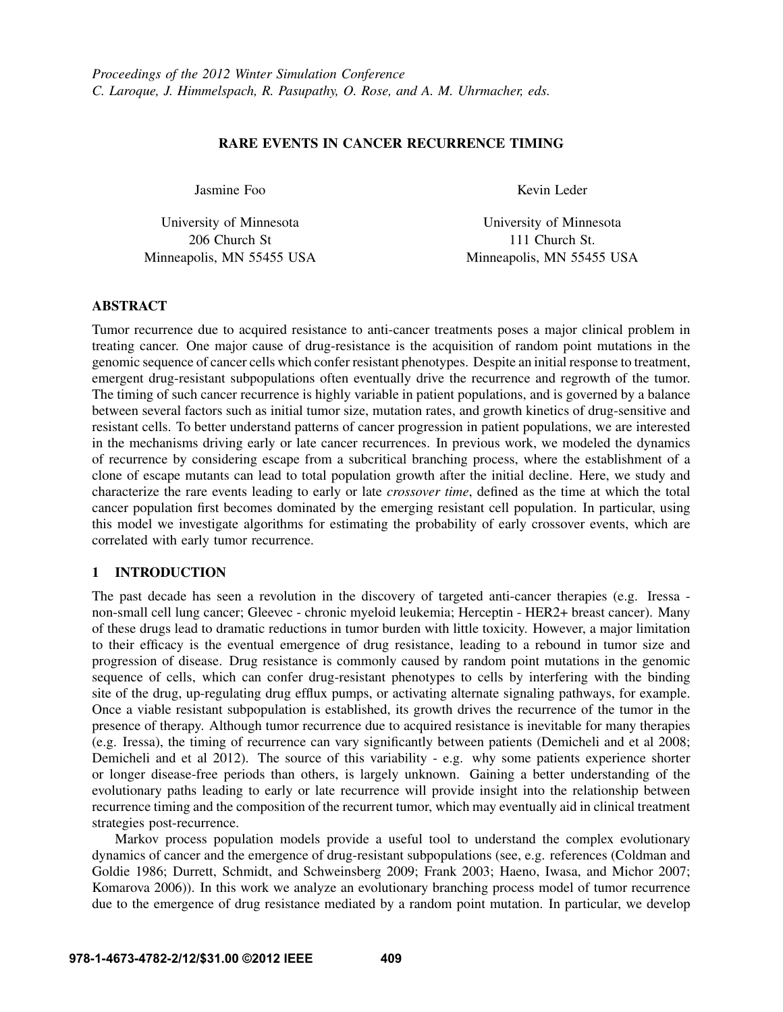# RARE EVENTS IN CANCER RECURRENCE TIMING

Jasmine Foo

University of Minnesota 206 Church St Minneapolis, MN 55455 USA Kevin Leder

University of Minnesota 111 Church St. Minneapolis, MN 55455 USA

# ABSTRACT

Tumor recurrence due to acquired resistance to anti-cancer treatments poses a major clinical problem in treating cancer. One major cause of drug-resistance is the acquisition of random point mutations in the genomic sequence of cancer cells which confer resistant phenotypes. Despite an initial response to treatment, emergent drug-resistant subpopulations often eventually drive the recurrence and regrowth of the tumor. The timing of such cancer recurrence is highly variable in patient populations, and is governed by a balance between several factors such as initial tumor size, mutation rates, and growth kinetics of drug-sensitive and resistant cells. To better understand patterns of cancer progression in patient populations, we are interested in the mechanisms driving early or late cancer recurrences. In previous work, we modeled the dynamics of recurrence by considering escape from a subcritical branching process, where the establishment of a clone of escape mutants can lead to total population growth after the initial decline. Here, we study and characterize the rare events leading to early or late *crossover time*, defined as the time at which the total cancer population first becomes dominated by the emerging resistant cell population. In particular, using this model we investigate algorithms for estimating the probability of early crossover events, which are correlated with early tumor recurrence.

# 1 INTRODUCTION

The past decade has seen a revolution in the discovery of targeted anti-cancer therapies (e.g. Iressa non-small cell lung cancer; Gleevec - chronic myeloid leukemia; Herceptin - HER2+ breast cancer). Many of these drugs lead to dramatic reductions in tumor burden with little toxicity. However, a major limitation to their efficacy is the eventual emergence of drug resistance, leading to a rebound in tumor size and progression of disease. Drug resistance is commonly caused by random point mutations in the genomic sequence of cells, which can confer drug-resistant phenotypes to cells by interfering with the binding site of the drug, up-regulating drug efflux pumps, or activating alternate signaling pathways, for example. Once a viable resistant subpopulation is established, its growth drives the recurrence of the tumor in the presence of therapy. Although tumor recurrence due to acquired resistance is inevitable for many therapies (e.g. Iressa), the timing of recurrence can vary significantly between patients (Demicheli and et al 2008; Demicheli and et al 2012). The source of this variability - e.g. why some patients experience shorter or longer disease-free periods than others, is largely unknown. Gaining a better understanding of the evolutionary paths leading to early or late recurrence will provide insight into the relationship between recurrence timing and the composition of the recurrent tumor, which may eventually aid in clinical treatment strategies post-recurrence.

Markov process population models provide a useful tool to understand the complex evolutionary dynamics of cancer and the emergence of drug-resistant subpopulations (see, e.g. references (Coldman and Goldie 1986; Durrett, Schmidt, and Schweinsberg 2009; Frank 2003; Haeno, Iwasa, and Michor 2007; Komarova 2006)). In this work we analyze an evolutionary branching process model of tumor recurrence due to the emergence of drug resistance mediated by a random point mutation. In particular, we develop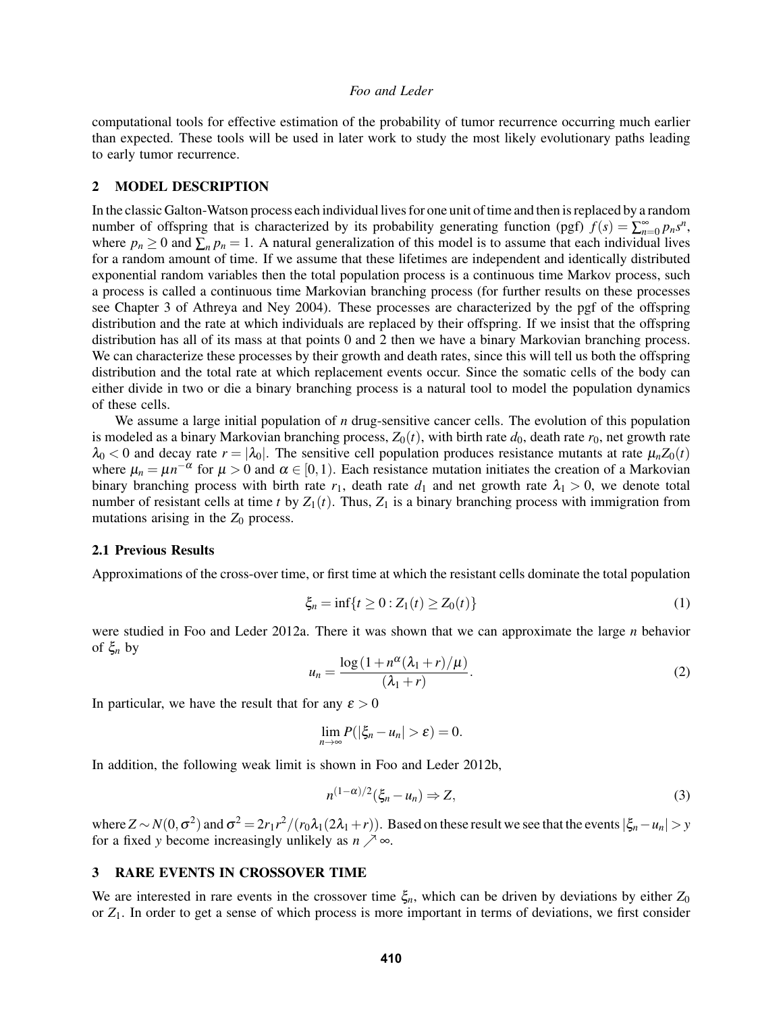computational tools for effective estimation of the probability of tumor recurrence occurring much earlier than expected. These tools will be used in later work to study the most likely evolutionary paths leading to early tumor recurrence.

#### 2 MODEL DESCRIPTION

In the classic Galton-Watson process each individual lives for one unit of time and then is replaced by a random number of offspring that is characterized by its probability generating function (pgf)  $f(s) = \sum_{n=0}^{\infty} p_n s^n$ , where  $p_n \geq 0$  and  $\sum_n p_n = 1$ . A natural generalization of this model is to assume that each individual lives for a random amount of time. If we assume that these lifetimes are independent and identically distributed exponential random variables then the total population process is a continuous time Markov process, such a process is called a continuous time Markovian branching process (for further results on these processes see Chapter 3 of Athreya and Ney 2004). These processes are characterized by the pgf of the offspring distribution and the rate at which individuals are replaced by their offspring. If we insist that the offspring distribution has all of its mass at that points 0 and 2 then we have a binary Markovian branching process. We can characterize these processes by their growth and death rates, since this will tell us both the offspring distribution and the total rate at which replacement events occur. Since the somatic cells of the body can either divide in two or die a binary branching process is a natural tool to model the population dynamics of these cells.

We assume a large initial population of *n* drug-sensitive cancer cells. The evolution of this population is modeled as a binary Markovian branching process,  $Z_0(t)$ , with birth rate  $d_0$ , death rate  $r_0$ , net growth rate  $\lambda_0$  < 0 and decay rate  $r = |\lambda_0|$ . The sensitive cell population produces resistance mutants at rate  $\mu_n Z_0(t)$ where  $\mu_n = \mu n^{-\alpha}$  for  $\mu > 0$  and  $\alpha \in [0,1)$ . Each resistance mutation initiates the creation of a Markovian binary branching process with birth rate  $r_1$ , death rate  $d_1$  and net growth rate  $\lambda_1 > 0$ , we denote total number of resistant cells at time *t* by  $Z_1(t)$ . Thus,  $Z_1$  is a binary branching process with immigration from mutations arising in the  $Z_0$  process.

#### 2.1 Previous Results

Approximations of the cross-over time, or first time at which the resistant cells dominate the total population

$$
\xi_n = \inf\{t \ge 0 : Z_1(t) \ge Z_0(t)\}\tag{1}
$$

were studied in Foo and Leder 2012a. There it was shown that we can approximate the large *n* behavior of ξ*<sup>n</sup>* by

$$
u_n = \frac{\log\left(1 + n^{\alpha}(\lambda_1 + r)/\mu\right)}{(\lambda_1 + r)}.
$$
\n(2)

In particular, we have the result that for any  $\varepsilon > 0$ 

$$
\lim_{n\to\infty}P(|\xi_n-u_n|>\varepsilon)=0.
$$

In addition, the following weak limit is shown in Foo and Leder 2012b,

$$
n^{(1-\alpha)/2}(\xi_n - u_n) \Rightarrow Z,\tag{3}
$$

where  $Z \sim N(0, \sigma^2)$  and  $\sigma^2 = 2r_1 r^2/(r_0 \lambda_1(2\lambda_1+r))$ . Based on these result we see that the events  $|\xi_n - u_n| > y$ for a fixed *y* become increasingly unlikely as  $n \nearrow \infty$ .

### 3 RARE EVENTS IN CROSSOVER TIME

We are interested in rare events in the crossover time  $\xi_n$ , which can be driven by deviations by either  $Z_0$ or *Z*1. In order to get a sense of which process is more important in terms of deviations, we first consider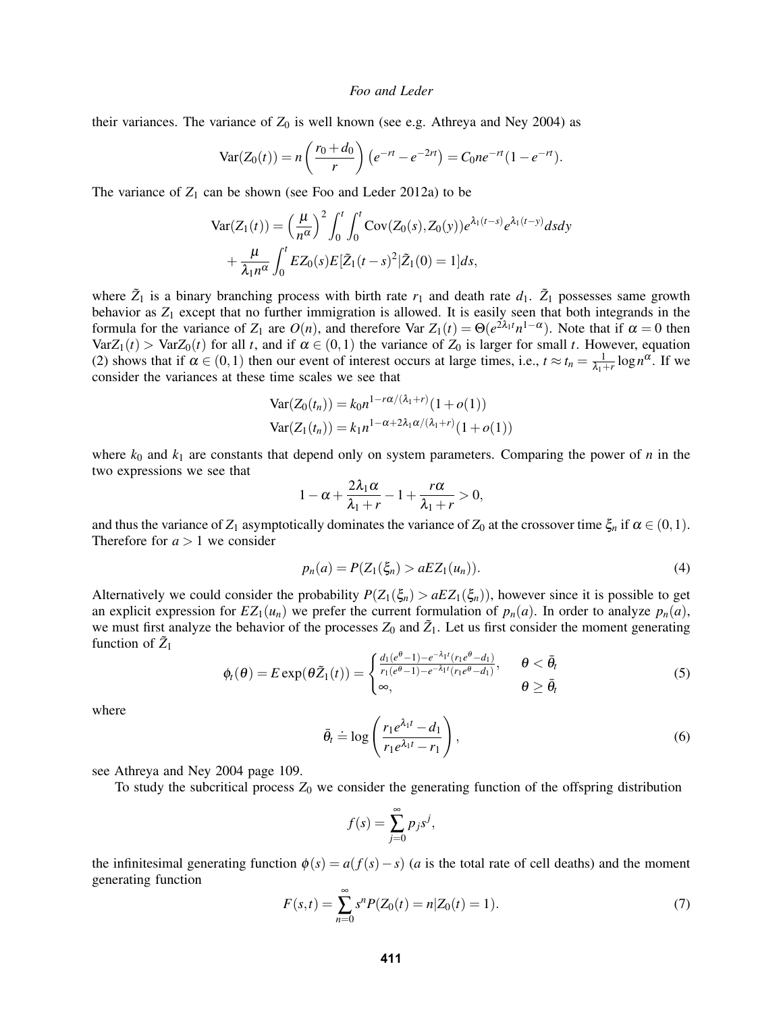their variances. The variance of  $Z_0$  is well known (see e.g. Athreya and Ney 2004) as

$$
Var(Z_0(t)) = n\left(\frac{r_0 + d_0}{r}\right)\left(e^{-rt} - e^{-2rt}\right) = C_0 n e^{-rt} (1 - e^{-rt}).
$$

The variance of  $Z_1$  can be shown (see Foo and Leder 2012a) to be

$$
\operatorname{Var}(Z_1(t)) = \left(\frac{\mu}{n^{\alpha}}\right)^2 \int_0^t \int_0^t \operatorname{Cov}(Z_0(s), Z_0(y)) e^{\lambda_1(t-s)} e^{\lambda_1(t-y)} ds dy
$$

$$
+ \frac{\mu}{\lambda_1 n^{\alpha}} \int_0^t EZ_0(s) E[\tilde{Z}_1(t-s)^2 | \tilde{Z}_1(0) = 1] ds,
$$

where  $\tilde{Z}_1$  is a binary branching process with birth rate  $r_1$  and death rate  $d_1$ .  $\tilde{Z}_1$  possesses same growth behavior as  $Z_1$  except that no further immigration is allowed. It is easily seen that both integrands in the formula for the variance of  $Z_1$  are  $O(n)$ , and therefore Var  $Z_1(t) = \Theta(e^{2\lambda_1 t} n^{1-\alpha})$ . Note that if  $\alpha = 0$  then  $VarZ_1(t) > VarZ_0(t)$  for all *t*, and if  $\alpha \in (0,1)$  the variance of  $Z_0$  is larger for small *t*. However, equation (2) shows that if  $\alpha \in (0,1)$  then our event of interest occurs at large times, i.e.,  $t \approx t_n = \frac{1}{\lambda_1+r} \log n^{\alpha}$ . If we consider the variances at these time scales we see that

$$
Var(Z_0(t_n)) = k_0 n^{1 - r\alpha/(\lambda_1 + r)} (1 + o(1))
$$
  
 
$$
Var(Z_1(t_n)) = k_1 n^{1 - \alpha + 2\lambda_1 \alpha/(\lambda_1 + r)} (1 + o(1))
$$

where  $k_0$  and  $k_1$  are constants that depend only on system parameters. Comparing the power of  $n$  in the two expressions we see that

$$
1-\alpha+\frac{2\lambda_1\alpha}{\lambda_1+r}-1+\frac{r\alpha}{\lambda_1+r}>0,
$$

and thus the variance of  $Z_1$  asymptotically dominates the variance of  $Z_0$  at the crossover time  $\xi_n$  if  $\alpha \in (0,1)$ . Therefore for  $a > 1$  we consider

$$
p_n(a) = P(Z_1(\xi_n) > aEZ_1(u_n)).
$$
\n(4)

Alternatively we could consider the probability  $P(Z_1(\xi_n) > aEZ_1(\xi_n))$ , however since it is possible to get an explicit expression for  $EZ_1(u_n)$  we prefer the current formulation of  $p_n(a)$ . In order to analyze  $p_n(a)$ , we must first analyze the behavior of the processes  $Z_0$  and  $\tilde{Z}_1$ . Let us first consider the moment generating function of  $\tilde{Z}_1$ 

$$
\phi_t(\theta) = E \exp(\theta \tilde{Z}_1(t)) = \begin{cases} \frac{d_1(e^{\theta} - 1) - e^{-\lambda_1 t} (r_1 e^{\theta} - d_1)}{r_1(e^{\theta} - 1) - e^{-\lambda_1 t} (r_1 e^{\theta} - d_1)}, & \theta < \bar{\theta}_t \\ \infty, & \theta \ge \bar{\theta}_t \end{cases}
$$
(5)

where

$$
\bar{\theta}_t \doteq \log \left( \frac{r_1 e^{\lambda_1 t} - d_1}{r_1 e^{\lambda_1 t} - r_1} \right),\tag{6}
$$

see Athreya and Ney 2004 page 109.

To study the subcritical process  $Z_0$  we consider the generating function of the offspring distribution

$$
f(s) = \sum_{j=0}^{\infty} p_j s^j,
$$

the infinitesimal generating function  $\phi(s) = a(f(s) - s)$  (*a* is the total rate of cell deaths) and the moment generating function

$$
F(s,t) = \sum_{n=0}^{\infty} s^n P(Z_0(t) = n | Z_0(t) = 1).
$$
 (7)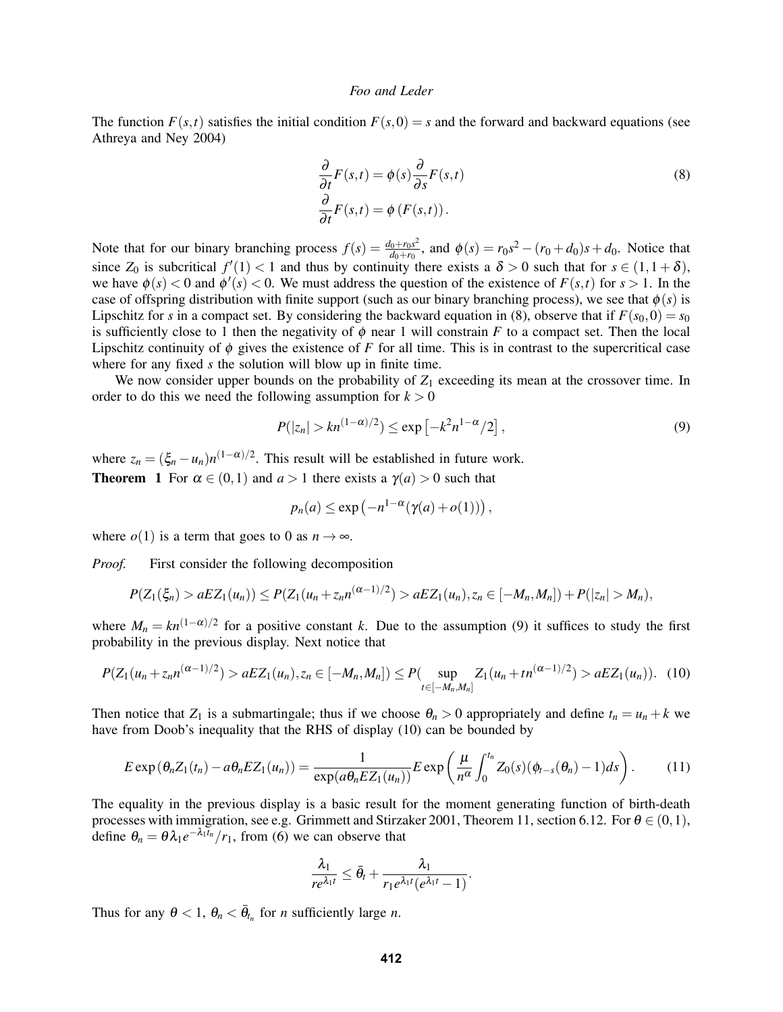The function  $F(s,t)$  satisfies the initial condition  $F(s,0) = s$  and the forward and backward equations (see Athreya and Ney 2004)

$$
\frac{\partial}{\partial t}F(s,t) = \phi(s)\frac{\partial}{\partial s}F(s,t)
$$
\n
$$
\frac{\partial}{\partial t}F(s,t) = \phi(F(s,t)).
$$
\n(8)

Note that for our binary branching process  $f(s) = \frac{d_0 + r_0 s^2}{ds + r_0 s}$  $\frac{d_0 + r_0 s^2}{d_0 + r_0}$ , and  $\phi(s) = r_0 s^2 - (r_0 + d_0)s + d_0$ . Notice that since  $Z_0$  is subcritical  $f'(1) < 1$  and thus by continuity there exists a  $\delta > 0$  such that for  $s \in (1, 1 + \delta)$ , we have  $\phi(s) < 0$  and  $\phi'(s) < 0$ . We must address the question of the existence of  $F(s,t)$  for  $s > 1$ . In the case of offspring distribution with finite support (such as our binary branching process), we see that  $\phi(s)$  is Lipschitz for *s* in a compact set. By considering the backward equation in (8), observe that if  $F(s_0,0) = s_0$ is sufficiently close to 1 then the negativity of  $\phi$  near 1 will constrain *F* to a compact set. Then the local Lipschitz continuity of  $\phi$  gives the existence of *F* for all time. This is in contrast to the supercritical case where for any fixed *s* the solution will blow up in finite time.

We now consider upper bounds on the probability of  $Z_1$  exceeding its mean at the crossover time. In order to do this we need the following assumption for  $k > 0$ 

$$
P(|z_n| > kn^{(1-\alpha)/2}) \le \exp\left[-k^2 n^{1-\alpha}/2\right],\tag{9}
$$

where  $z_n = (\xi_n - u_n)n^{(1-\alpha)/2}$ . This result will be established in future work. **Theorem 1** For  $\alpha \in (0,1)$  and  $a > 1$  there exists a  $\gamma(a) > 0$  such that

$$
p_n(a) \le \exp\left(-n^{1-\alpha}(\gamma(a) + o(1))\right),
$$

where  $o(1)$  is a term that goes to 0 as  $n \to \infty$ .

*Proof.* First consider the following decomposition

$$
P(Z_1(\xi_n) > aEZ_1(u_n)) \leq P(Z_1(u_n + z_n n^{(\alpha-1)/2}) > aEZ_1(u_n), z_n \in [-M_n, M_n]) + P(|z_n| > M_n),
$$

where  $M_n = kn^{(1-\alpha)/2}$  for a positive constant *k*. Due to the assumption (9) it suffices to study the first probability in the previous display. Next notice that

$$
P(Z_1(u_n+z_n n^{(\alpha-1)/2})>aEZ_1(u_n),z_n\in[-M_n,M_n])\leq P(\sup_{t\in[-M_n,M_n]}Z_1(u_n+tn^{(\alpha-1)/2})>aEZ_1(u_n)).
$$
 (10)

Then notice that  $Z_1$  is a submartingale; thus if we choose  $\theta_n > 0$  appropriately and define  $t_n = u_n + k$  we have from Doob's inequality that the RHS of display (10) can be bounded by

$$
E \exp\left(\theta_n Z_1(t_n) - a\theta_n E Z_1(u_n)\right) = \frac{1}{\exp(a\theta_n E Z_1(u_n))} E \exp\left(\frac{\mu}{n^{\alpha}} \int_0^{t_n} Z_0(s)(\phi_{t-s}(\theta_n) - 1)ds\right).
$$
 (11)

The equality in the previous display is a basic result for the moment generating function of birth-death processes with immigration, see e.g. Grimmett and Stirzaker 2001, Theorem 11, section 6.12. For  $\theta \in (0,1)$ , define  $\theta_n = \theta \lambda_1 e^{-\lambda_1 \bar{t}_n} / r_1$ , from (6) we can observe that

$$
\frac{\lambda_1}{re^{\lambda_1t}}\leq \bar{\theta}_t+\frac{\lambda_1}{r_1e^{\lambda_1t}(e^{\lambda_1t}-1)}.
$$

Thus for any  $\theta < 1$ ,  $\theta_n < \bar{\theta}_{t_n}$  for *n* sufficiently large *n*.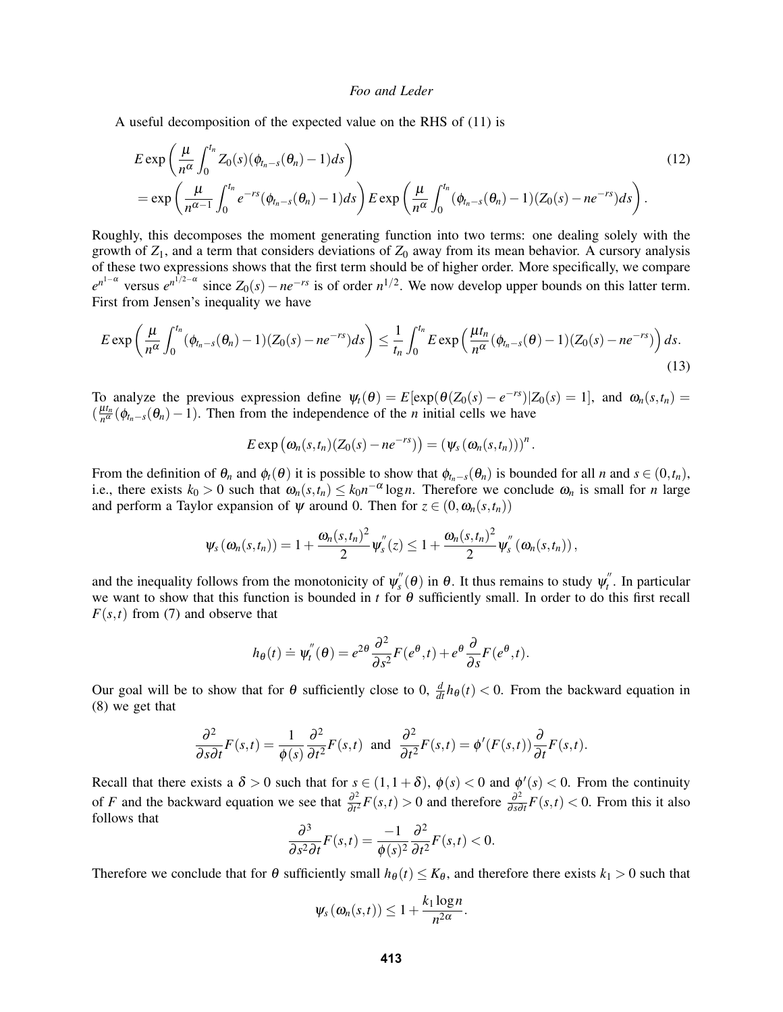A useful decomposition of the expected value on the RHS of (11) is

$$
E \exp\left(\frac{\mu}{n^{\alpha}} \int_0^{t_n} Z_0(s)(\phi_{t_n-s}(\theta_n) - 1) ds\right)
$$
  
= 
$$
\exp\left(\frac{\mu}{n^{\alpha-1}} \int_0^{t_n} e^{-rs} (\phi_{t_n-s}(\theta_n) - 1) ds\right) E \exp\left(\frac{\mu}{n^{\alpha}} \int_0^{t_n} (\phi_{t_n-s}(\theta_n) - 1)(Z_0(s) - n e^{-rs}) ds\right).
$$
 (12)

Roughly, this decomposes the moment generating function into two terms: one dealing solely with the growth of *Z*1, and a term that considers deviations of *Z*<sup>0</sup> away from its mean behavior. A cursory analysis of these two expressions shows that the first term should be of higher order. More specifically, we compare  $e^{n^{1-\alpha}}$  versus  $e^{n^{1/2-\alpha}}$  since  $Z_0(s) - ne^{-rs}$  is of order  $n^{1/2}$ . We now develop upper bounds on this latter term. First from Jensen's inequality we have

$$
E \exp\left(\frac{\mu}{n^{\alpha}} \int_0^{t_n} (\phi_{t_n-s}(\theta_n) - 1)(Z_0(s) - n e^{-rs}) ds\right) \leq \frac{1}{t_n} \int_0^{t_n} E \exp\left(\frac{\mu t_n}{n^{\alpha}} (\phi_{t_n-s}(\theta) - 1)(Z_0(s) - n e^{-rs})\right) ds.
$$
\n(13)

To analyze the previous expression define  $\psi_t(\theta) = E[\exp(\theta(Z_0(s) - e^{-rs}) | Z_0(s) = 1],$  and  $\omega_n(s, t_n) =$  $\left(\frac{\mu t_n}{n\alpha}\right)$  $\frac{a_n}{n^{\alpha}}(\phi_{t_n-s}(\theta_n)-1)$ . Then from the independence of the *n* initial cells we have

$$
E \exp (\omega_n(s,t_n)(Z_0(s)-ne^{-rs}))=(\psi_s(\omega_n(s,t_n)))^n.
$$

From the definition of  $\theta_n$  and  $\phi_t(\theta)$  it is possible to show that  $\phi_{t_n-s}(\theta_n)$  is bounded for all *n* and  $s \in (0,t_n)$ , i.e., there exists  $k_0 > 0$  such that  $\omega_n(s,t_n) \leq k_0 n^{-\alpha} \log n$ . Therefore we conclude  $\omega_n$  is small for *n* large and perform a Taylor expansion of  $\psi$  around 0. Then for  $z \in (0, \omega_n(s, t_n))$ 

$$
\psi_s(\omega_n(s,t_n))=1+\frac{\omega_n(s,t_n)^2}{2}\psi_s^{''}(z)\leq 1+\frac{\omega_n(s,t_n)^2}{2}\psi_s^{''}(\omega_n(s,t_n)),
$$

and the inequality follows from the monotonicity of  $\psi_s^{\prime\prime}$  $s''$ <sub>s</sub> $(\theta)$  in  $\theta$ . It thus remains to study  $\psi_t''$ *t* . In particular we want to show that this function is bounded in *t* for θ sufficiently small. In order to do this first recall  $F(s,t)$  from (7) and observe that

$$
h_{\theta}(t) \doteq \psi_t''(\theta) = e^{2\theta} \frac{\partial^2}{\partial s^2} F(e^{\theta}, t) + e^{\theta} \frac{\partial}{\partial s} F(e^{\theta}, t).
$$

Our goal will be to show that for  $\theta$  sufficiently close to 0,  $\frac{d}{dt}h_{\theta}(t) < 0$ . From the backward equation in (8) we get that

$$
\frac{\partial^2}{\partial s \partial t} F(s,t) = \frac{1}{\phi(s)} \frac{\partial^2}{\partial t^2} F(s,t) \text{ and } \frac{\partial^2}{\partial t^2} F(s,t) = \phi'(F(s,t)) \frac{\partial}{\partial t} F(s,t).
$$

Recall that there exists a  $\delta > 0$  such that for  $s \in (1, 1 + \delta)$ ,  $\phi(s) < 0$  and  $\phi'(s) < 0$ . From the continuity of *F* and the backward equation we see that  $\frac{\partial^2}{\partial t^2}$  $\frac{\partial^2}{\partial t^2} F(s,t) > 0$  and therefore  $\frac{\partial^2}{\partial s\bar{c}}$  $\frac{\partial^2}{\partial s \partial t} F(s,t) < 0$ . From this it also follows that

$$
\frac{\partial^3}{\partial s^2 \partial t} F(s,t) = \frac{-1}{\phi(s)^2} \frac{\partial^2}{\partial t^2} F(s,t) < 0.
$$

Therefore we conclude that for  $\theta$  sufficiently small  $h_{\theta}(t) \leq K_{\theta}$ , and therefore there exists  $k_1 > 0$  such that

$$
\psi_s(\omega_n(s,t))\leq 1+\frac{k_1\log n}{n^{2\alpha}}.
$$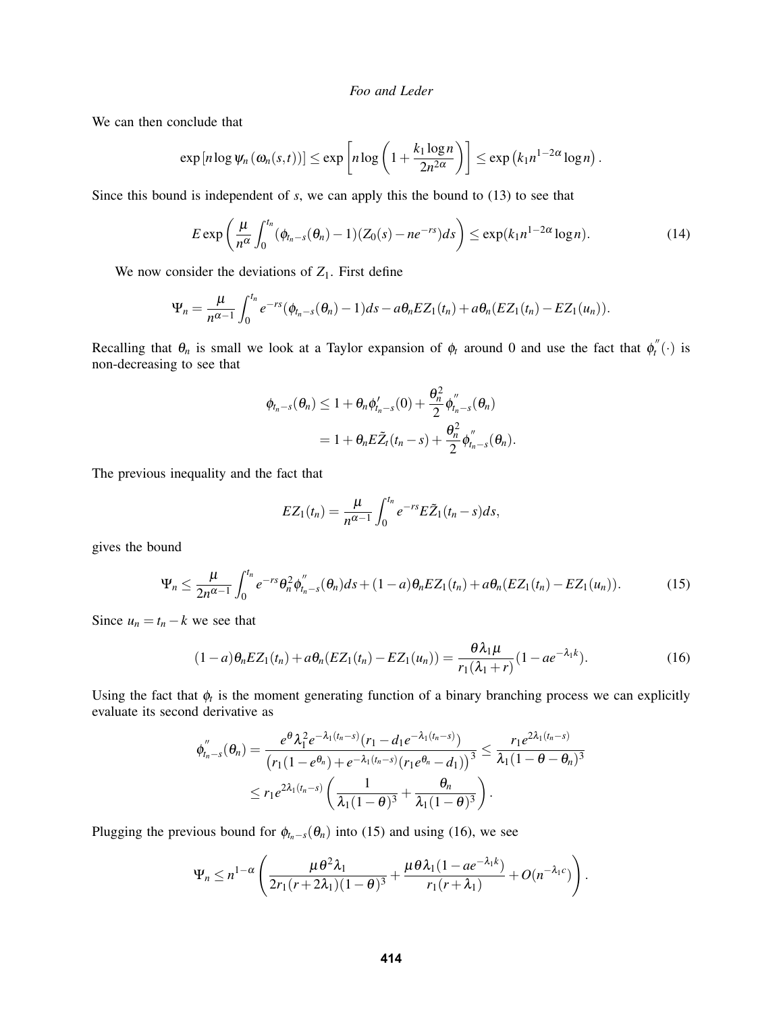We can then conclude that

$$
\exp\left[n\log\psi_n\left(\omega_n(s,t)\right)\right]\leq \exp\left[n\log\left(1+\frac{k_1\log n}{2n^{2\alpha}}\right)\right]\leq \exp\left(k_1n^{1-2\alpha}\log n\right).
$$

Since this bound is independent of *s*, we can apply this the bound to (13) to see that

$$
E \exp\left(\frac{\mu}{n^{\alpha}} \int_0^{t_n} (\phi_{t_n-s}(\theta_n)-1)(Z_0(s)-ne^{-rs})ds\right) \leq \exp(k_1 n^{1-2\alpha} \log n). \tag{14}
$$

We now consider the deviations of  $Z_1$ . First define

$$
\Psi_n=\frac{\mu}{n^{\alpha-1}}\int_0^{t_n}e^{-rs}(\phi_{t_n-s}(\theta_n)-1)ds-a\theta_nEZ_1(t_n)+a\theta_n(EZ_1(t_n)-EZ_1(u_n)).
$$

Recalling that  $\theta_n$  is small we look at a Taylor expansion of  $\phi_t$  around 0 and use the fact that  $\phi_t^{\prime\prime}$  $\int_t^{\pi}(\cdot)$  is non-decreasing to see that

$$
\varphi_{t_n-s}(\theta_n) \leq 1 + \theta_n \phi'_{t_n-s}(0) + \frac{\theta_n^2}{2} \phi''_{t_n-s}(\theta_n)
$$
  
= 
$$
1 + \theta_n E \tilde{Z}_t(t_n-s) + \frac{\theta_n^2}{2} \phi''_{t_n-s}(\theta_n).
$$

The previous inequality and the fact that

$$
EZ_1(t_n)=\frac{\mu}{n^{\alpha-1}}\int_0^{t_n}e^{-rs}E\tilde{Z}_1(t_n-s)ds,
$$

gives the bound

$$
\Psi_n \leq \frac{\mu}{2n^{\alpha-1}} \int_0^{t_n} e^{-rs} \theta_n^2 \phi_{t_n-s}''(\theta_n) ds + (1-a) \theta_n EZ_1(t_n) + a \theta_n (EZ_1(t_n) - EZ_1(u_n)). \tag{15}
$$

Since  $u_n = t_n - k$  we see that

$$
(1-a)\theta_n EZ_1(t_n) + a\theta_n (EZ_1(t_n) - EZ_1(u_n)) = \frac{\theta \lambda_1 \mu}{r_1(\lambda_1 + r)} (1 - ae^{-\lambda_1 k}). \tag{16}
$$

Using the fact that  $\phi_t$  is the moment generating function of a binary branching process we can explicitly evaluate its second derivative as

$$
\phi_{t_n-s}''(\theta_n) = \frac{e^{\theta} \lambda_1^2 e^{-\lambda_1(t_n-s)} (r_1 - d_1 e^{-\lambda_1(t_n-s)})}{(r_1(1 - e^{\theta_n}) + e^{-\lambda_1(t_n-s)} (r_1 e^{\theta_n} - d_1))^3} \le \frac{r_1 e^{2\lambda_1(t_n-s)}}{\lambda_1(1 - \theta - \theta_n)^3}
$$
  

$$
\le r_1 e^{2\lambda_1(t_n-s)} \left( \frac{1}{\lambda_1(1-\theta)^3} + \frac{\theta_n}{\lambda_1(1-\theta)^3} \right).
$$

Plugging the previous bound for  $\phi_{t_n-s}(\theta_n)$  into (15) and using (16), we see

$$
\Psi_n \leq n^{1-\alpha} \left( \frac{\mu \theta^2 \lambda_1}{2r_1(r+2\lambda_1)(1-\theta)^3} + \frac{\mu \theta \lambda_1(1 - ae^{-\lambda_1 k})}{r_1(r+\lambda_1)} + O(n^{-\lambda_1 c}) \right).
$$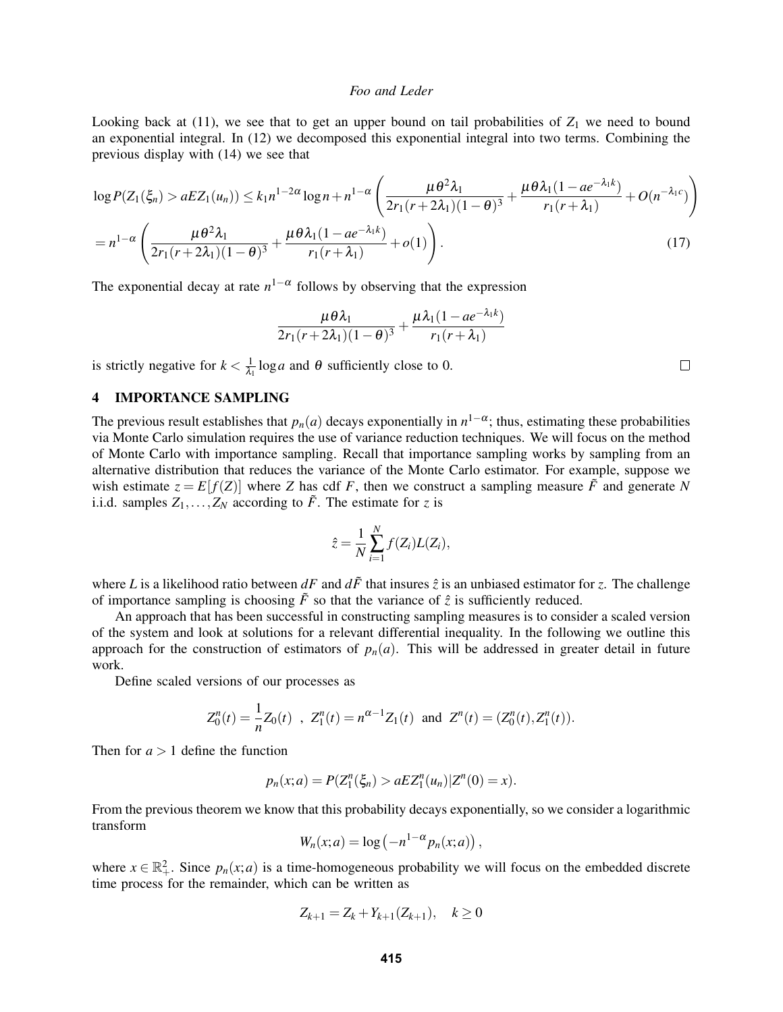Looking back at  $(11)$ , we see that to get an upper bound on tail probabilities of  $Z_1$  we need to bound an exponential integral. In (12) we decomposed this exponential integral into two terms. Combining the previous display with (14) we see that

$$
\log P(Z_1(\xi_n) > aEZ_1(u_n)) \le k_1 n^{1-2\alpha} \log n + n^{1-\alpha} \left( \frac{\mu \theta^2 \lambda_1}{2r_1(r+2\lambda_1)(1-\theta)^3} + \frac{\mu \theta \lambda_1 (1 - ae^{-\lambda_1 k})}{r_1(r+\lambda_1)} + O(n^{-\lambda_1 c}) \right)
$$
  
=  $n^{1-\alpha} \left( \frac{\mu \theta^2 \lambda_1}{2r_1(r+2\lambda_1)(1-\theta)^3} + \frac{\mu \theta \lambda_1 (1 - ae^{-\lambda_1 k})}{r_1(r+\lambda_1)} + o(1) \right).$  (17)

The exponential decay at rate  $n^{1-\alpha}$  follows by observing that the expression

$$
\frac{\mu\theta\lambda_1}{2r_1(r+2\lambda_1)(1-\theta)^3}+\frac{\mu\lambda_1(1-ae^{-\lambda_1k})}{r_1(r+\lambda_1)}
$$

is strictly negative for  $k < \frac{1}{\lambda}$  $\frac{1}{\lambda_1} \log a$  and  $\theta$  sufficiently close to 0.

# 4 IMPORTANCE SAMPLING

The previous result establishes that  $p_n(a)$  decays exponentially in  $n^{1-\alpha}$ ; thus, estimating these probabilities via Monte Carlo simulation requires the use of variance reduction techniques. We will focus on the method of Monte Carlo with importance sampling. Recall that importance sampling works by sampling from an alternative distribution that reduces the variance of the Monte Carlo estimator. For example, suppose we wish estimate  $z = E[f(Z)]$  where *Z* has cdf *F*, then we construct a sampling measure  $\tilde{F}$  and generate *N* i.i.d. samples  $Z_1, \ldots, Z_N$  according to  $\tilde{F}$ . The estimate for *z* is

$$
\hat{z} = \frac{1}{N} \sum_{i=1}^{N} f(Z_i) L(Z_i),
$$

where *L* is a likelihood ratio between  $dF$  and  $d\tilde{F}$  that insures  $\hat{z}$  is an unbiased estimator for *z*. The challenge of importance sampling is choosing  $\tilde{F}$  so that the variance of  $\hat{z}$  is sufficiently reduced.

An approach that has been successful in constructing sampling measures is to consider a scaled version of the system and look at solutions for a relevant differential inequality. In the following we outline this approach for the construction of estimators of  $p_n(a)$ . This will be addressed in greater detail in future work.

Define scaled versions of our processes as

$$
Z_0^n(t) = \frac{1}{n} Z_0(t) , Z_1^n(t) = n^{\alpha - 1} Z_1(t) \text{ and } Z^n(t) = (Z_0^n(t), Z_1^n(t)).
$$

Then for  $a > 1$  define the function

$$
p_n(x;a) = P(Z_1^n(\xi_n) > aEZ_1^n(u_n)|Z^n(0) = x).
$$

From the previous theorem we know that this probability decays exponentially, so we consider a logarithmic transform

$$
W_n(x;a) = \log(-n^{1-\alpha}p_n(x;a))
$$

,

where  $x \in \mathbb{R}^2_+$ . Since  $p_n(x; a)$  is a time-homogeneous probability we will focus on the embedded discrete time process for the remainder, which can be written as

$$
Z_{k+1} = Z_k + Y_{k+1}(Z_{k+1}), \quad k \ge 0
$$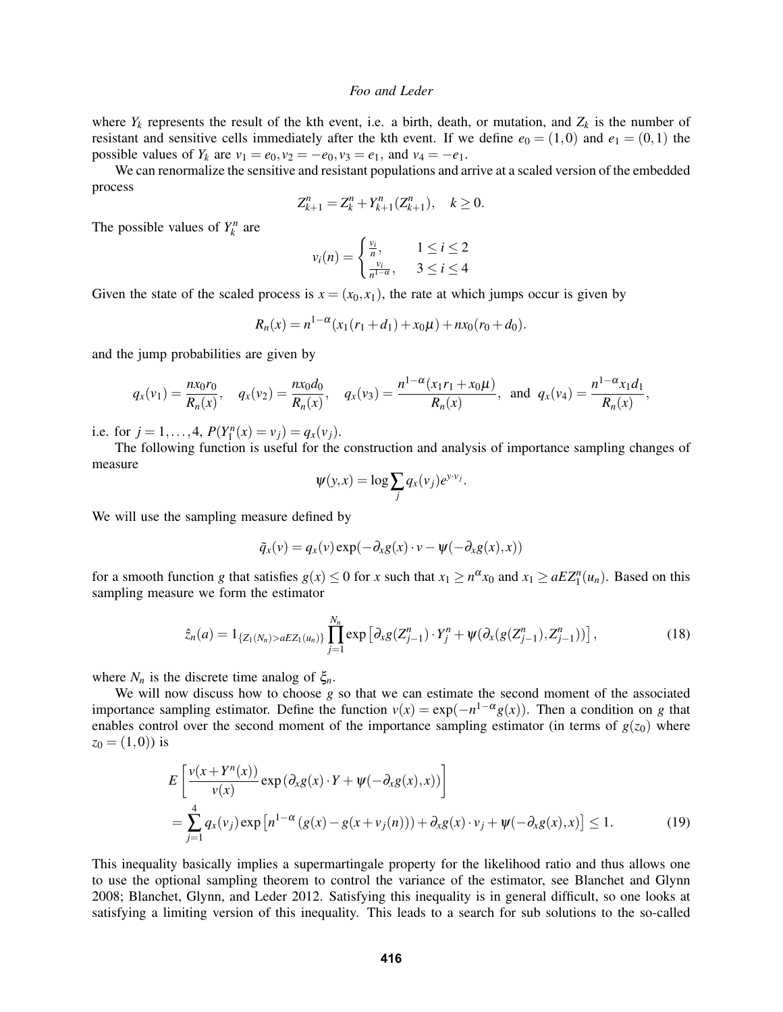where  $Y_k$  represents the result of the kth event, i.e. a birth, death, or mutation, and  $Z_k$  is the number of resistant and sensitive cells immediately after the kth event. If we define  $e_0 = (1,0)$  and  $e_1 = (0,1)$  the possible values of  $Y_k$  are  $v_1 = e_0$ ,  $v_2 = -e_0$ ,  $v_3 = e_1$ , and  $v_4 = -e_1$ .

We can renormalize the sensitive and resistant populations and arrive at a scaled version of the embedded process

$$
Z_{k+1}^n = Z_k^n + Y_{k+1}^n (Z_{k+1}^n), \quad k \ge 0.
$$

The possible values of  $Y_k^n$  are

$$
v_i(n) = \begin{cases} \frac{v_i}{n}, & 1 \le i \le 2\\ \frac{v_i}{n^{1-\alpha}}, & 3 \le i \le 4 \end{cases}
$$

Given the state of the scaled process is  $x = (x_0, x_1)$ , the rate at which jumps occur is given by

$$
R_n(x) = n^{1-\alpha}(x_1(r_1 + d_1) + x_0\mu) + nx_0(r_0 + d_0).
$$

and the jump probabilities are given by

$$
q_x(v_1) = \frac{n x_0 r_0}{R_n(x)}, \quad q_x(v_2) = \frac{n x_0 d_0}{R_n(x)}, \quad q_x(v_3) = \frac{n^{1-\alpha} (x_1 r_1 + x_0 \mu)}{R_n(x)}, \text{ and } q_x(v_4) = \frac{n^{1-\alpha} x_1 d_1}{R_n(x)},
$$

i.e. for  $j = 1, ..., 4$ ,  $P(Y_1^n(x) = v_j) = q_x(v_j)$ .

The following function is useful for the construction and analysis of importance sampling changes of measure

$$
\psi(y,x) = \log \sum_j q_x(v_j) e^{y \cdot v_j}.
$$

We will use the sampling measure defined by

$$
\tilde{q}_x(v) = q_x(v) \exp(-\partial_x g(x) \cdot v - \psi(-\partial_x g(x), x))
$$

for a smooth function *g* that satisfies  $g(x) \le 0$  for *x* such that  $x_1 \ge n^{\alpha}x_0$  and  $x_1 \ge aEZ_1^n(u_n)$ . Based on this sampling measure we form the estimator

$$
\hat{z}_n(a) = 1_{\{Z_1(N_n) > aEZ_1(u_n)\}} \prod_{j=1}^{N_n} \exp\left[\partial_x g(Z_{j-1}^n) \cdot Y_j^n + \psi(\partial_x (g(Z_{j-1}^n), Z_{j-1}^n))\right],\tag{18}
$$

where  $N_n$  is the discrete time analog of  $\xi_n$ .

We will now discuss how to choose *g* so that we can estimate the second moment of the associated importance sampling estimator. Define the function  $v(x) = \exp(-n^{1-\alpha}g(x))$ . Then a condition on *g* that enables control over the second moment of the importance sampling estimator (in terms of  $g(z_0)$ ) where  $z_0 = (1,0)$  is

$$
E\left[\frac{v(x+Y^{n}(x))}{v(x)}\exp\left(\partial_{x}g(x)\cdot Y+\psi(-\partial_{x}g(x),x)\right)\right]
$$
  
= 
$$
\sum_{j=1}^{4}q_{x}(v_{j})\exp\left[n^{1-\alpha}\left(g(x)-g(x+v_{j}(n))\right)+\partial_{x}g(x)\cdot v_{j}+\psi(-\partial_{x}g(x),x)\right] \leq 1.
$$
 (19)

This inequality basically implies a supermartingale property for the likelihood ratio and thus allows one to use the optional sampling theorem to control the variance of the estimator, see Blanchet and Glynn 2008; Blanchet, Glynn, and Leder 2012. Satisfying this inequality is in general difficult, so one looks at satisfying a limiting version of this inequality. This leads to a search for sub solutions to the so-called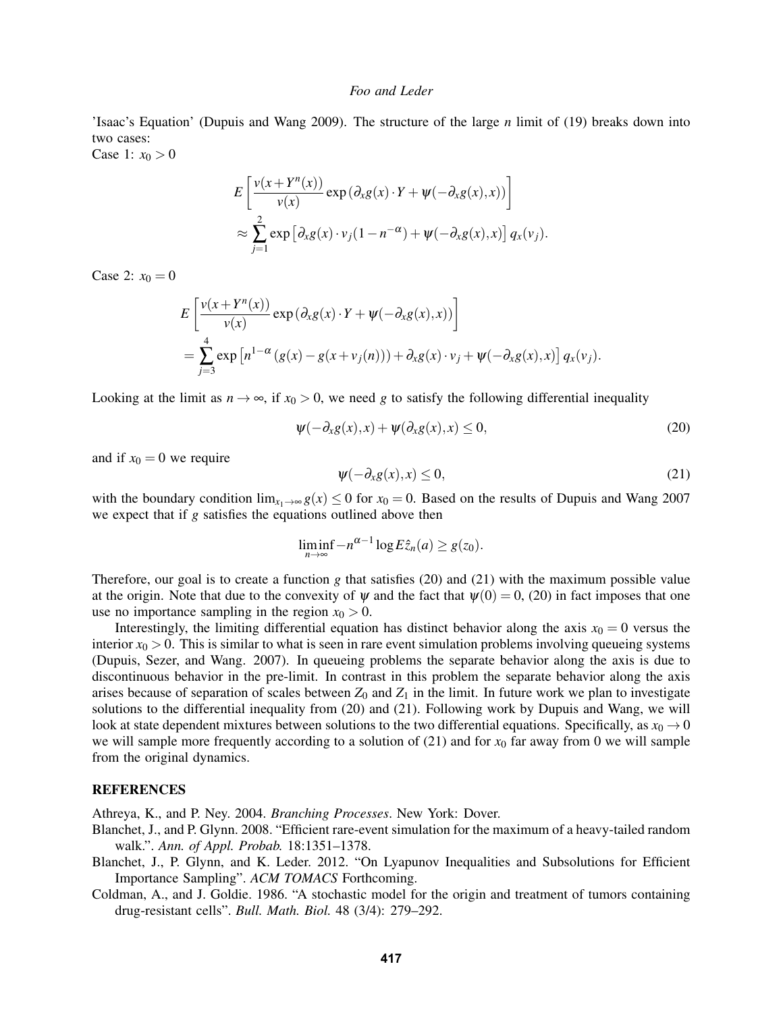'Isaac's Equation' (Dupuis and Wang 2009). The structure of the large *n* limit of (19) breaks down into two cases:

Case 1:  $x_0 > 0$ 

$$
E\left[\frac{v(x+Y^{n}(x))}{v(x)}\exp\left(\partial_{x}g(x)\cdot Y+\psi(-\partial_{x}g(x),x)\right)\right]
$$
  

$$
\approx \sum_{j=1}^{2} \exp\left[\partial_{x}g(x)\cdot v_{j}(1-n^{-\alpha})+\psi(-\partial_{x}g(x),x)\right]q_{x}(v_{j}).
$$

Case 2:  $x_0 = 0$ 

$$
E\left[\frac{v(x+Y^{n}(x))}{v(x)}\exp\left(\partial_{x}g(x)\cdot Y+\psi(-\partial_{x}g(x),x)\right)\right]
$$
  
= 
$$
\sum_{j=3}^{4}\exp\left[n^{1-\alpha}\left(g(x)-g(x+v_{j}(n))\right)+\partial_{x}g(x)\cdot v_{j}+\psi(-\partial_{x}g(x),x)\right]q_{x}(v_{j}).
$$

Looking at the limit as  $n \to \infty$ , if  $x_0 > 0$ , we need *g* to satisfy the following differential inequality

$$
\psi(-\partial_x g(x),x) + \psi(\partial_x g(x),x) \le 0,
$$
\n(20)

and if  $x_0 = 0$  we require

$$
\psi(-\partial_x g(x), x) \le 0,\tag{21}
$$

with the boundary condition  $\lim_{x_1 \to \infty} g(x) \leq 0$  for  $x_0 = 0$ . Based on the results of Dupuis and Wang 2007 we expect that if *g* satisfies the equations outlined above then

$$
\liminf_{n\to\infty}-n^{\alpha-1}\log E\hat{z}_n(a)\geq g(z_0).
$$

Therefore, our goal is to create a function  $g$  that satisfies (20) and (21) with the maximum possible value at the origin. Note that due to the convexity of  $\psi$  and the fact that  $\psi(0) = 0$ , (20) in fact imposes that one use no importance sampling in the region  $x_0 > 0$ .

Interestingly, the limiting differential equation has distinct behavior along the axis  $x_0 = 0$  versus the interior  $x_0 > 0$ . This is similar to what is seen in rare event simulation problems involving queueing systems (Dupuis, Sezer, and Wang. 2007). In queueing problems the separate behavior along the axis is due to discontinuous behavior in the pre-limit. In contrast in this problem the separate behavior along the axis arises because of separation of scales between  $Z_0$  and  $Z_1$  in the limit. In future work we plan to investigate solutions to the differential inequality from (20) and (21). Following work by Dupuis and Wang, we will look at state dependent mixtures between solutions to the two differential equations. Specifically, as  $x_0 \to 0$ we will sample more frequently according to a solution of (21) and for  $x_0$  far away from 0 we will sample from the original dynamics.

### **REFERENCES**

Athreya, K., and P. Ney. 2004. *Branching Processes*. New York: Dover.

- Blanchet, J., and P. Glynn. 2008. "Efficient rare-event simulation for the maximum of a heavy-tailed random walk.". *Ann. of Appl. Probab.* 18:1351–1378.
- Blanchet, J., P. Glynn, and K. Leder. 2012. "On Lyapunov Inequalities and Subsolutions for Efficient Importance Sampling". *ACM TOMACS* Forthcoming.
- Coldman, A., and J. Goldie. 1986. "A stochastic model for the origin and treatment of tumors containing drug-resistant cells". *Bull. Math. Biol.* 48 (3/4): 279–292.